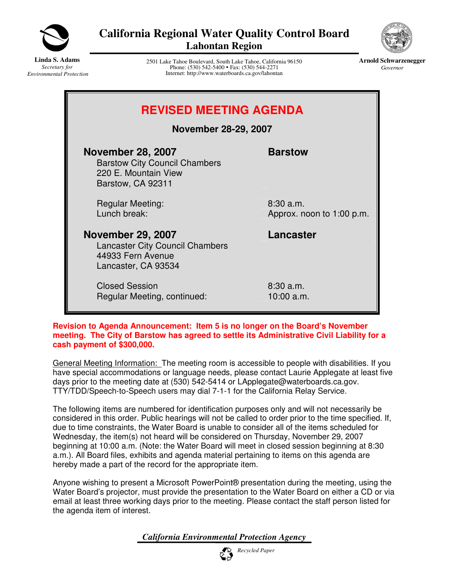

**California Regional Water Quality Control Board Lahontan Region**

**Linda S. Adams** *Secretary for Environmental Protection*

2501 Lake Tahoe Boulevard, South Lake Tahoe, California 96150 Phone: (530) 542-5400 • Fax: (530) 544-2271 Internet: http://www.waterboards.ca.gov/lahontan



**Arnold Schwarzenegger** *Governor*

| <b>REVISED MEETING AGENDA</b>                                                                                  |                                          |
|----------------------------------------------------------------------------------------------------------------|------------------------------------------|
| <b>November 28-29, 2007</b>                                                                                    |                                          |
| <b>November 28, 2007</b><br><b>Barstow City Council Chambers</b><br>220 E. Mountain View<br>Barstow, CA 92311  | <b>Barstow</b>                           |
| <b>Regular Meeting:</b><br>Lunch break:                                                                        | $8:30$ a.m.<br>Approx. noon to 1:00 p.m. |
| <b>November 29, 2007</b><br><b>Lancaster City Council Chambers</b><br>44933 Fern Avenue<br>Lancaster, CA 93534 | <b>Lancaster</b>                         |
| <b>Closed Session</b><br>Regular Meeting, continued:                                                           | $8:30$ a.m.<br>10:00 a.m.                |

**Revision to Agenda Announcement: Item 5 is no longer on the Board's November meeting. The City of Barstow has agreed to settle its Administrative Civil Liability for a cash payment of \$300,000.**

General Meeting Information: The meeting room is accessible to people with disabilities. If you have special accommodations or language needs, please contact Laurie Applegate at least five days prior to the meeting date at (530) 542-5414 or LApplegate@waterboards.ca.gov. TTY/TDD/Speech-to-Speech users may dial 7-1-1 for the California Relay Service.

The following items are numbered for identification purposes only and will not necessarily be considered in this order. Public hearings will not be called to order prior to the time specified. If, due to time constraints, the Water Board is unable to consider all of the items scheduled for Wednesday, the item(s) not heard will be considered on Thursday, November 29, 2007 beginning at 10:00 a.m. (Note: the Water Board will meet in closed session beginning at 8:30 a.m.). All Board files, exhibits and agenda material pertaining to items on this agenda are hereby made a part of the record for the appropriate item.

Anyone wishing to present a Microsoft PowerPoint® presentation during the meeting, using the Water Board's projector, must provide the presentation to the Water Board on either a CD or via email at least three working days prior to the meeting. Please contact the staff person listed for the agenda item of interest.

*California Environmental Protection Agency*

*Recycled Paper*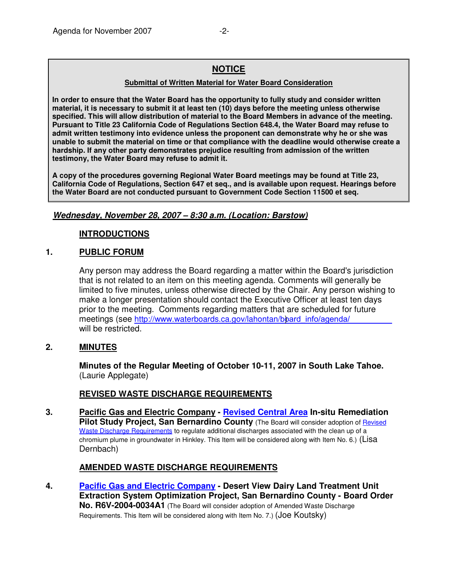## **NOTICE**

#### **Submittal of Written Material for Water Board Consideration**

**In order to ensure that the Water Board has the opportunity to fully study and consider written material, it is necessary to submit it at least ten (10) days before the meeting unless otherwise specified. This will allow distribution of material to the Board Members in advance of the meeting. Pursuant to Title 23 California Code of Regulations Section 648.4, the Water Board may refuse to admit written testimony into evidence unless the proponent can demonstrate why he or she was unable to submit the material on time or that compliance with the deadline would otherwise create a hardship. If any other party demonstrates prejudice resulting from admission of the written testimony, the Water Board may refuse to admit it.**

**A copy of the procedures governing Regional Water Board meetings may be found at Title 23, California Code of Regulations, Section 647 et seq., and is available upon request. Hearings before the Water Board are not conducted pursuant to Government Code Section 11500 et seq***.*

## *Wednesday, November 28, 2007 – 8:30 a.m. (Location: Barstow)*

#### **INTRODUCTIONS**

#### **1. PUBLIC FORUM**

Any person may address the Board regarding a matter within the Board's jurisdiction that is not related to an item on this meeting agenda. Comments will generally be limited to five minutes, unless otherwise directed by the Chair. Any person wishing to make a longer presentation should contact the Executive Officer at least ten days prior to the meeting. Comments regarding matters that are scheduled for future meetings (see [http://www.waterboards.ca.gov/lahontan/](http://www.waterboards.ca.gov/lahontan/board_info/agenda/)board\_info/agenda/ will be restricted.

#### **2. MINUTES**

**Minutes of the Regular Meeting of October 10-11, 2007 in South Lake Tahoe.** (Laurie Applegate)

#### **REVISED WASTE DISCHARGE REQUIREMENTS**

**3. Pacific Gas and Electric Company - [Revised](http://www.waterboards.ca.gov/lahontan/board_info/agenda/2007/nov/item3_wdrmrp.pdf) Central Area In-situ Remediation Pilot Study Project, San [Bernardino](http://www.waterboards.ca.gov/lahontan/board_info/agenda/2007/nov/item3_wdr.pdf) County** (The Board will consider adoption of Revised Waste Discharge Requirements to regulate additional discharges associated with the clean up of a chromium plume in groundwater in Hinkley. This Item will be considered along with Item No. 6.) (Lisa Dernbach)

## **AMENDED WASTE DISCHARGE REQUIREMENTS**

**4. Pacific Gas and Electric [Company](http://www.waterboards.ca.gov/lahontan/board_info/agenda/2007/nov/item4.pdf) - Desert View Dairy Land Treatment Unit Extraction System Optimization Project, San Bernardino County - Board Order No. R6V-2004-0034A1** (The Board will consider adoption of Amended Waste Discharge Requirements. This Item will be considered along with Item No. 7.) (Joe Koutsky)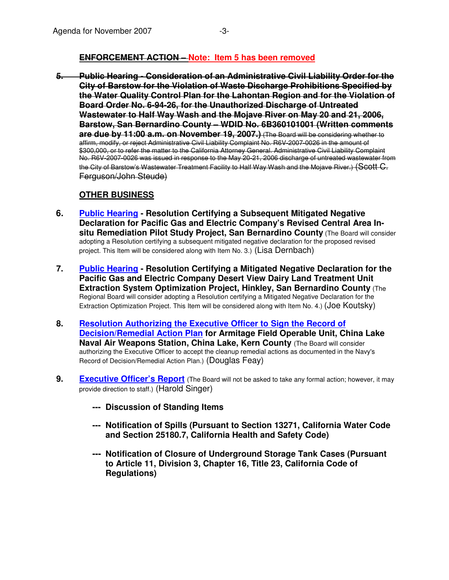**5. Public Hearing - Consideration of an Administrative Civil Liability Order for the City of Barstow for the Violation of Waste Discharge Prohibitions Specified by the Water Quality Control Plan for the Lahontan Region and for the Violation of Board Order No. 6-94-26, for the Unauthorized Discharge of Untreated Wastewater to Half Way Wash and the Mojave River on May 20 and 21, 2006, Barstow, San Bernardino County – WDID No. 6B360101001 (Written comments are due by 11:00 a.m. on November 19, 2007.)** (The Board will be considering whether to affirm, modify, or reject Administrative Civil Liability Complaint No. R6V-2007-0026 in the amount of \$300,000, or to refer the matter to the California Attorney General. Administrative Civil Liability Complaint No. R6V-2007-0026 was issued in response to the May 20-21, 2006 discharge of untreated wastewater from the City of Barstow's Wastewater Treatment Facility to Half Way Wash and the Mojave River.) (Scott C. Ferguson/John Steude)

## **OTHER BUSINESS**

- **6. Public [Hearing](http://www.waterboards.ca.gov/lahontan/board_info/agenda/2007/nov/item6.pdf) - Resolution Certifying a Subsequent Mitigated Negative Declaration for Pacific Gas and Electric Company's Revised Central Area Insitu Remediation Pilot Study Project, San Bernardino County** (The Board will consider adopting a Resolution certifying a subsequent mitigated negative declaration for the proposed revised project. This Item will be considered along with Item No. 3.) (Lisa Dernbach)
- **7. Public [Hearing](http://www.waterboards.ca.gov/lahontan/board_info/agenda/2007/nov/item7.pdf) - Resolution Certifying a Mitigated Negative Declaration for the Pacific Gas and Electric Company Desert View Dairy Land Treatment Unit Extraction System Optimization Project, Hinkley, San Bernardino County** (The Regional Board will consider adopting a Resolution certifying a Mitigated Negative Declaration for the Extraction Optimization Project. This Item will be considered along with Item No. 4.) (Joe Koutsky)
- **8. Resolution Authorizing the Executive Officer to Sign the Record of [Decision/Remedial](http://www.waterboards.ca.gov/lahontan/board_info/agenda/2007/nov/item8.pdf) Action Plan for Armitage Field Operable Unit, China Lake Naval Air Weapons Station, China Lake, Kern County** (The Board will consider authorizing the Executive Officer to accept the cleanup remedial actions as documented in the Navy's Record of Decision/Remedial Action Plan.) (Douglas Feay)
- **9. [Executive](http://www.waterboards.ca.gov/lahontan/board_info/agenda/2007/nov/item9.pdf) Officer's Report** (The Board will not be asked to take any formal action; however, it may provide direction to staff.) (Harold Singer)
	- **--- Discussion of Standing Items**
	- **--- Notification of Spills (Pursuant to Section 13271, California Water Code and Section 25180.7, California Health and Safety Code)**
	- **--- Notification of Closure of Underground Storage Tank Cases (Pursuant to Article 11, Division 3, Chapter 16, Title 23, California Code of Regulations)**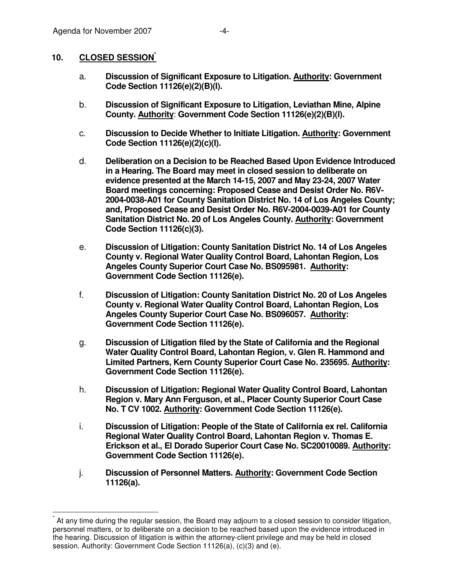- a. **Discussion of Significant Exposure to Litigation. Authority: Government Code Section 11126(e)(2)(B)(I).**
- b. **Discussion of Significant Exposure to Litigation, Leviathan Mine, Alpine County. Authority**: **Government Code Section 11126(e)(2)(B)(I).**
- c. **Discussion to Decide Whether to Initiate Litigation. Authority: Government Code Section 11126(e)(2)(c)(I).**
- d. **Deliberation on a Decision to be Reached Based Upon Evidence Introduced in a Hearing. The Board may meet in closed session to deliberate on evidence presented at the March 14-15, 2007 and May 23-24, 2007 Water Board meetings concerning: Proposed Cease and Desist Order No. R6V-2004-0038-A01 for County Sanitation District No. 14 of Los Angeles County; and, Proposed Cease and Desist Order No. R6V-2004-0039-A01 for County Sanitation District No. 20 of Los Angeles County. Authority: Government Code Section 11126(c)(3).**
- e. **Discussion of Litigation: County Sanitation District No. 14 of Los Angeles County v. Regional Water Quality Control Board, Lahontan Region, Los Angeles County Superior Court Case No. BS095981. Authority: Government Code Section 11126(e).**
- f. **Discussion of Litigation: County Sanitation District No. 20 of Los Angeles County v. Regional Water Quality Control Board, Lahontan Region, Los Angeles County Superior Court Case No. BS096057. Authority: Government Code Section 11126(e).**
- g. **Discussion of Litigation filed by the State of California and the Regional Water Quality Control Board, Lahontan Region, v. Glen R. Hammond and Limited Partners, Kern County Superior Court Case No. 235695. Authority: Government Code Section 11126(e).**
- h. **Discussion of Litigation: Regional Water Quality Control Board, Lahontan Region v. Mary Ann Ferguson, et al., Placer County Superior Court Case No. T CV 1002. Authority: Government Code Section 11126(e).**
- i. **Discussion of Litigation: People of the State of California ex rel. California Regional Water Quality Control Board, Lahontan Region v. Thomas E. Erickson et al., El Dorado Superior Court Case No. SC20010089. Authority: Government Code Section 11126(e).**
- j. **Discussion of Personnel Matters. Authority: Government Code Section 11126(a).**

<sup>\*</sup> At any time during the regular session, the Board may adjourn to a closed session to consider litigation, personnel matters, or to deliberate on a decision to be reached based upon the evidence introduced in the hearing. Discussion of litigation is within the attorney-client privilege and may be held in closed session. Authority: Government Code Section 11126(a), (c)(3) and (e).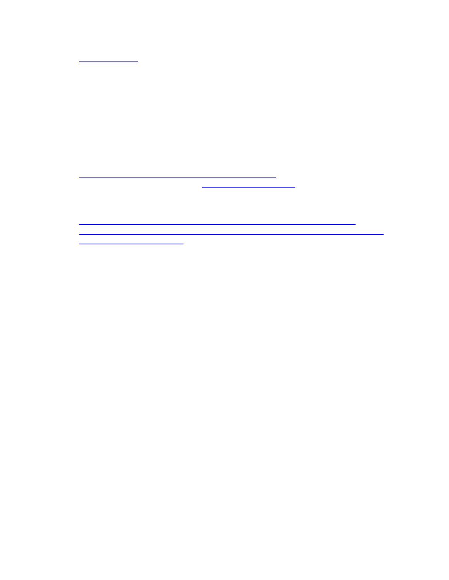# NOT E

Submittal o Written aterial or Water Board onsideration

n order to ensure that the Water Board has the opportunity to ully study and consider written material, it is necessary to submit it at least ten (10) days be ore the meeting unless otherwise speci ied. This will allow distribution o material to the Board embers in advance o the meeting. Pursuant to Title 23 ali ornia ode o egulations Section 8., the Water Board may re use to admit written testimony into evidence unless the proponent can demonstrate why he or she was unable to submit the material on time or that compliance with the deadline would otherwise create a hardship. any other party demonstrates prejudice resulting rom admission o the written testimony, the Water Board may re use to admit it.

copy o the procedures governing egional Water Board meetings may be ound at Title 23, ali ornia ode o equiations. Section 7 et se .. and is available upon re uest. Hearings be ore the Water Board are not conducted pursuant to overnment ode Section 11 00 et se.

Wednesday, November 28, 2007 - 8:30 a.m. (Location: Barstow)

**TONS** <del>NT 0 -</del>

#### $\mathbf{1}$ P BL  $\Omega$

Any person may address the Board regarding a matter within the Board's jurisdiction that is not related to an item on this meeting agenda. Comments will generally be limited to five minutes, unless otherwise directed by the Chair. Any person wishing to make a longer presentation should contact the Executive Officer at least ten days prior to the meeting. Comments regarding matters that are scheduled for future meetings (see http://www.waterboards.ca.gov/lahontan/b)o a r d i n f o / a g e n d a / will be restricted.

#### $2.$ N TES

inutes o the egular eeting o October 10-11, 2007 in South La e Tahoe. (Laurie Applegate)

E SE W STE S H E E E ENTS

 $3<sub>1</sub>$ Paci ic as and Electric ompany - evised entral rea n-situ emediation **Pilot Study Project, San Bernardino** ounty (The Board will consider adoption of Revised Waste Discharge Requirements to regulate additional discharges associated with the clean up of a chromium plume in groundwater in Hinkley. This Item will be considered along with Item No. 6.) (Lisa Dernbach)

EN E W STE S H E E E ENTS

Paci ic as and Electric ompany esert iew airy Land Treatment nit E traction System Optimi ation Project, San Bernardino ounty - Board Order No. -200 -003 1 (The Board will consider adoption of Amended Waste Discharge Requirements. This Item will be considered along with Item No. 7.) (Joe Koutsky)